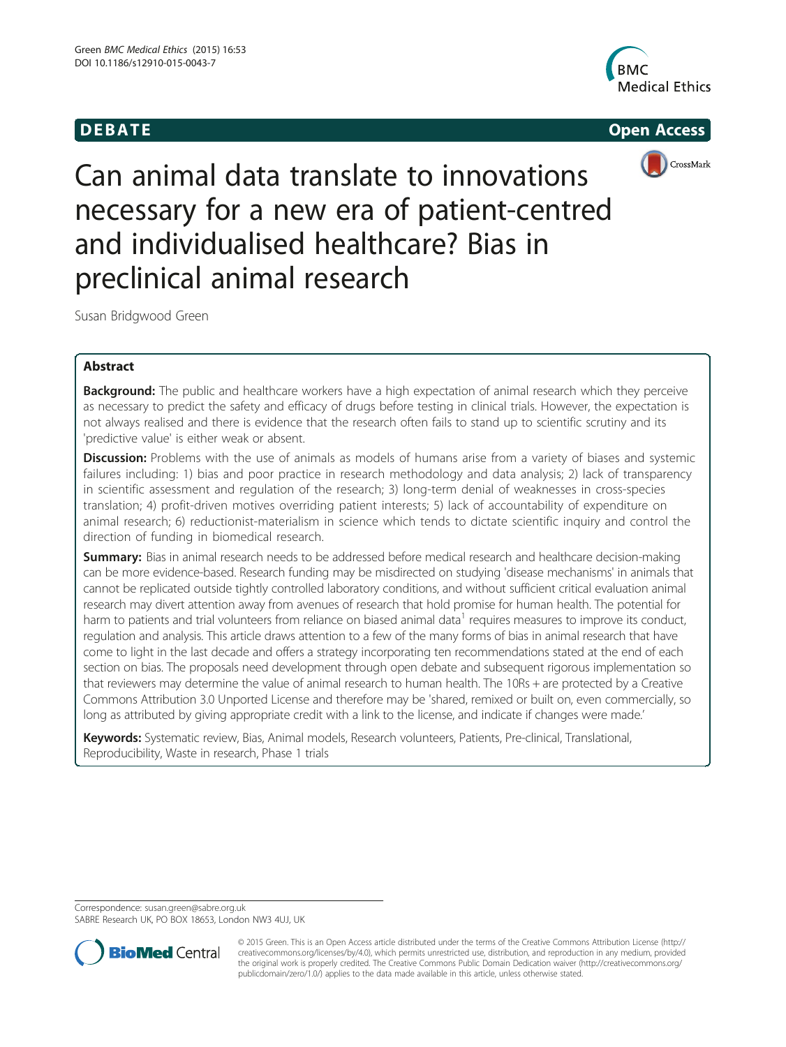

# **DEBATE CONSIDERENT CONSIDERED ACCESS**



Can animal data translate to innovations necessary for a new era of patient-centred and individualised healthcare? Bias in preclinical animal research

Susan Bridgwood Green

# Abstract

**Background:** The public and healthcare workers have a high expectation of animal research which they perceive as necessary to predict the safety and efficacy of drugs before testing in clinical trials. However, the expectation is not always realised and there is evidence that the research often fails to stand up to scientific scrutiny and its 'predictive value' is either weak or absent.

Discussion: Problems with the use of animals as models of humans arise from a variety of biases and systemic failures including: 1) bias and poor practice in research methodology and data analysis; 2) lack of transparency in scientific assessment and regulation of the research; 3) long-term denial of weaknesses in cross-species translation; 4) profit-driven motives overriding patient interests; 5) lack of accountability of expenditure on animal research; 6) reductionist-materialism in science which tends to dictate scientific inquiry and control the direction of funding in biomedical research.

Summary: Bias in animal research needs to be addressed before medical research and healthcare decision-making can be more evidence-based. Research funding may be misdirected on studying 'disease mechanisms' in animals that cannot be replicated outside tightly controlled laboratory conditions, and without sufficient critical evaluation animal research may divert attention away from avenues of research that hold promise for human health. The potential for harm to patients and trial volunteers from reliance on biased animal data<sup>1</sup> requires measures to improve its conduct, regulation and analysis. This article draws attention to a few of the many forms of bias in animal research that have come to light in the last decade and offers a strategy incorporating ten recommendations stated at the end of each section on bias. The proposals need development through open debate and subsequent rigorous implementation so that reviewers may determine the value of animal research to human health. The 10Rs + are protected by a Creative Commons Attribution 3.0 Unported License and therefore may be 'shared, remixed or built on, even commercially, so long as attributed by giving appropriate credit with a link to the license, and indicate if changes were made.'

Keywords: Systematic review, Bias, Animal models, Research volunteers, Patients, Pre-clinical, Translational, Reproducibility, Waste in research, Phase 1 trials

Correspondence: [susan.green@sabre.org.uk](mailto:susan.green@sabre.org.uk)

SABRE Research UK, PO BOX 18653, London NW3 4UJ, UK



© 2015 Green. This is an Open Access article distributed under the terms of the Creative Commons Attribution License ([http://](http://creativecommons.org/licenses/by/4.0) [creativecommons.org/licenses/by/4.0](http://creativecommons.org/licenses/by/4.0)), which permits unrestricted use, distribution, and reproduction in any medium, provided the original work is properly credited. The Creative Commons Public Domain Dedication waiver ([http://creativecommons.org/](http://creativecommons.org/publicdomain/zero/1.0/) [publicdomain/zero/1.0/\)](http://creativecommons.org/publicdomain/zero/1.0/) applies to the data made available in this article, unless otherwise stated.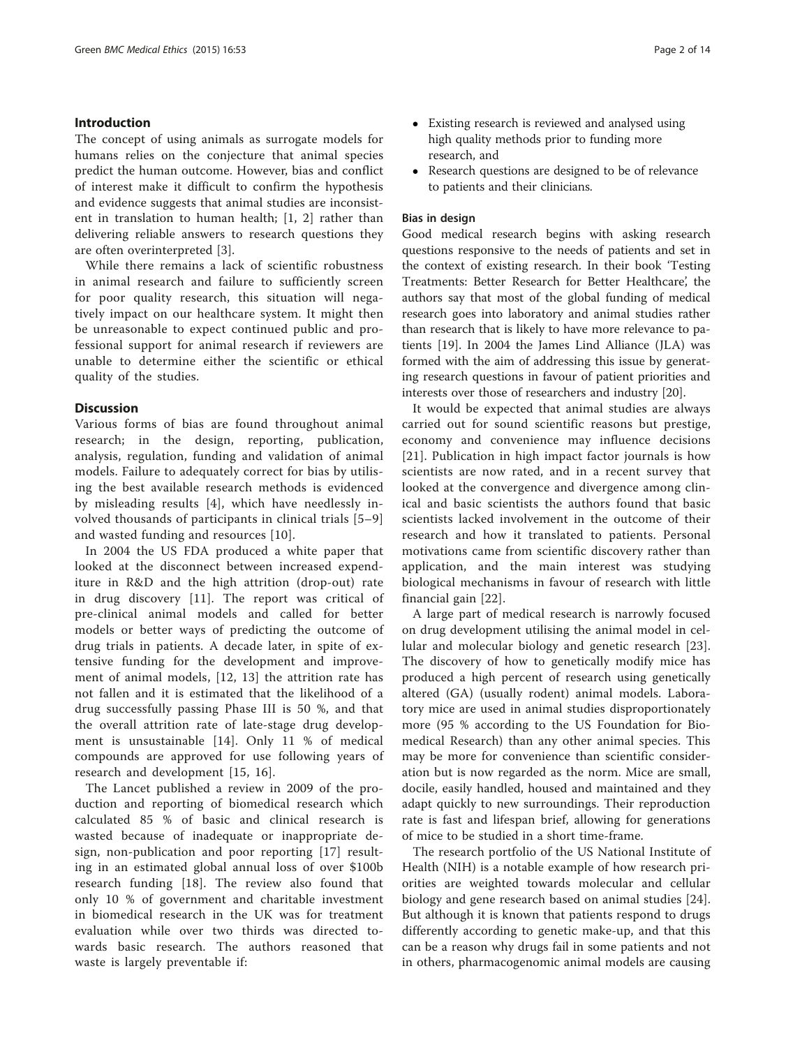### Introduction

The concept of using animals as surrogate models for humans relies on the conjecture that animal species predict the human outcome. However, bias and conflict of interest make it difficult to confirm the hypothesis and evidence suggests that animal studies are inconsistent in translation to human health; [[1, 2\]](#page-11-0) rather than delivering reliable answers to research questions they are often overinterpreted [[3\]](#page-11-0).

While there remains a lack of scientific robustness in animal research and failure to sufficiently screen for poor quality research, this situation will negatively impact on our healthcare system. It might then be unreasonable to expect continued public and professional support for animal research if reviewers are unable to determine either the scientific or ethical quality of the studies.

### **Discussion**

Various forms of bias are found throughout animal research; in the design, reporting, publication, analysis, regulation, funding and validation of animal models. Failure to adequately correct for bias by utilising the best available research methods is evidenced by misleading results [\[4\]](#page-11-0), which have needlessly involved thousands of participants in clinical trials [[5](#page-11-0)–[9](#page-12-0)] and wasted funding and resources [[10](#page-12-0)].

In 2004 the US FDA produced a white paper that looked at the disconnect between increased expenditure in R&D and the high attrition (drop-out) rate in drug discovery [[11\]](#page-12-0). The report was critical of pre-clinical animal models and called for better models or better ways of predicting the outcome of drug trials in patients. A decade later, in spite of extensive funding for the development and improvement of animal models, [[12](#page-12-0), [13](#page-12-0)] the attrition rate has not fallen and it is estimated that the likelihood of a drug successfully passing Phase III is 50 %, and that the overall attrition rate of late-stage drug development is unsustainable [[14\]](#page-12-0). Only 11 % of medical compounds are approved for use following years of research and development [[15, 16](#page-12-0)].

The Lancet published a review in 2009 of the production and reporting of biomedical research which calculated 85 % of basic and clinical research is wasted because of inadequate or inappropriate design, non-publication and poor reporting [\[17](#page-12-0)] resulting in an estimated global annual loss of over \$100b research funding [[18\]](#page-12-0). The review also found that only 10 % of government and charitable investment in biomedical research in the UK was for treatment evaluation while over two thirds was directed towards basic research. The authors reasoned that waste is largely preventable if:

- Existing research is reviewed and analysed using high quality methods prior to funding more research, and
- Research questions are designed to be of relevance to patients and their clinicians.

#### Bias in design

Good medical research begins with asking research questions responsive to the needs of patients and set in the context of existing research. In their book 'Testing Treatments: Better Research for Better Healthcare', the authors say that most of the global funding of medical research goes into laboratory and animal studies rather than research that is likely to have more relevance to patients [[19\]](#page-12-0). In 2004 the James Lind Alliance (JLA) was formed with the aim of addressing this issue by generating research questions in favour of patient priorities and interests over those of researchers and industry [[20\]](#page-12-0).

It would be expected that animal studies are always carried out for sound scientific reasons but prestige, economy and convenience may influence decisions [[21](#page-12-0)]. Publication in high impact factor journals is how scientists are now rated, and in a recent survey that looked at the convergence and divergence among clinical and basic scientists the authors found that basic scientists lacked involvement in the outcome of their research and how it translated to patients. Personal motivations came from scientific discovery rather than application, and the main interest was studying biological mechanisms in favour of research with little financial gain [[22\]](#page-12-0).

A large part of medical research is narrowly focused on drug development utilising the animal model in cellular and molecular biology and genetic research [\[23](#page-12-0)]. The discovery of how to genetically modify mice has produced a high percent of research using genetically altered (GA) (usually rodent) animal models. Laboratory mice are used in animal studies disproportionately more (95 % according to the US Foundation for Biomedical Research) than any other animal species. This may be more for convenience than scientific consideration but is now regarded as the norm. Mice are small, docile, easily handled, housed and maintained and they adapt quickly to new surroundings. Their reproduction rate is fast and lifespan brief, allowing for generations of mice to be studied in a short time-frame.

The research portfolio of the US National Institute of Health (NIH) is a notable example of how research priorities are weighted towards molecular and cellular biology and gene research based on animal studies [\[24](#page-12-0)]. But although it is known that patients respond to drugs differently according to genetic make-up, and that this can be a reason why drugs fail in some patients and not in others, pharmacogenomic animal models are causing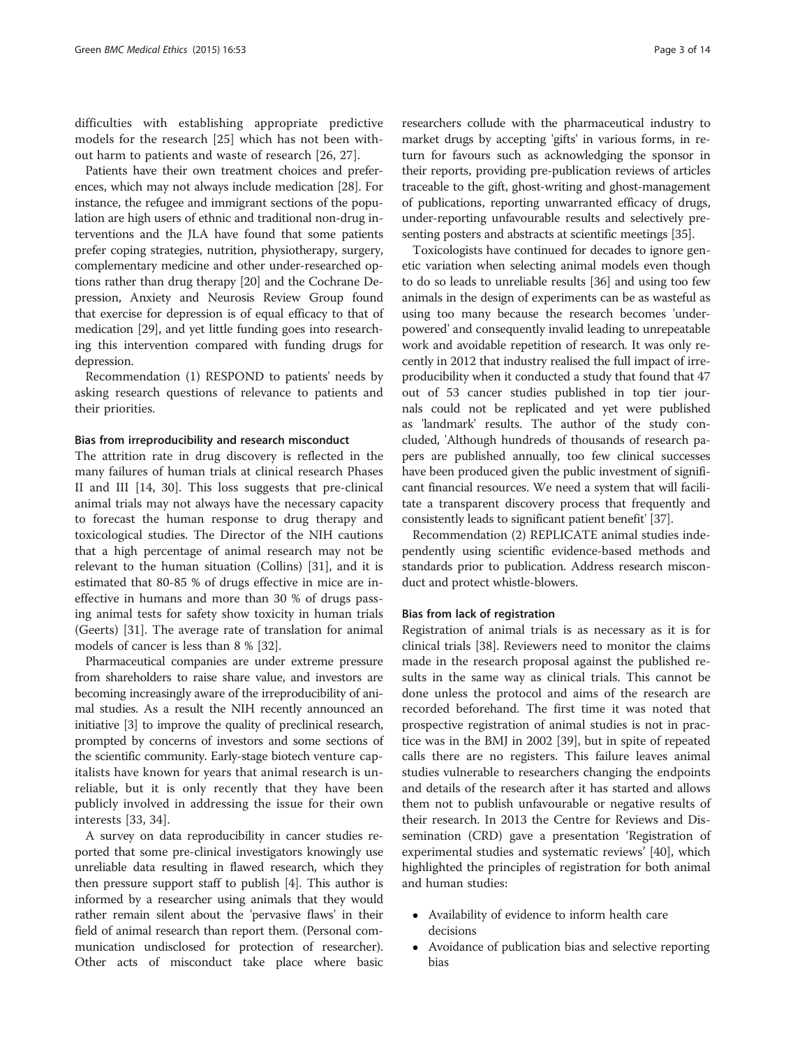difficulties with establishing appropriate predictive models for the research [[25\]](#page-12-0) which has not been without harm to patients and waste of research [\[26](#page-12-0), [27\]](#page-12-0).

Patients have their own treatment choices and preferences, which may not always include medication [\[28\]](#page-12-0). For instance, the refugee and immigrant sections of the population are high users of ethnic and traditional non-drug interventions and the JLA have found that some patients prefer coping strategies, nutrition, physiotherapy, surgery, complementary medicine and other under-researched options rather than drug therapy [[20](#page-12-0)] and the Cochrane Depression, Anxiety and Neurosis Review Group found that exercise for depression is of equal efficacy to that of medication [\[29](#page-12-0)], and yet little funding goes into researching this intervention compared with funding drugs for depression.

Recommendation (1) RESPOND to patients' needs by asking research questions of relevance to patients and their priorities.

#### Bias from irreproducibility and research misconduct

The attrition rate in drug discovery is reflected in the many failures of human trials at clinical research Phases II and III [[14, 30](#page-12-0)]. This loss suggests that pre-clinical animal trials may not always have the necessary capacity to forecast the human response to drug therapy and toxicological studies. The Director of the NIH cautions that a high percentage of animal research may not be relevant to the human situation (Collins) [\[31](#page-12-0)], and it is estimated that 80-85 % of drugs effective in mice are ineffective in humans and more than 30 % of drugs passing animal tests for safety show toxicity in human trials (Geerts) [[31](#page-12-0)]. The average rate of translation for animal models of cancer is less than 8 % [\[32](#page-12-0)].

Pharmaceutical companies are under extreme pressure from shareholders to raise share value, and investors are becoming increasingly aware of the irreproducibility of animal studies. As a result the NIH recently announced an initiative [[3\]](#page-11-0) to improve the quality of preclinical research, prompted by concerns of investors and some sections of the scientific community. Early-stage biotech venture capitalists have known for years that animal research is unreliable, but it is only recently that they have been publicly involved in addressing the issue for their own interests [\[33](#page-12-0), [34](#page-12-0)].

A survey on data reproducibility in cancer studies reported that some pre-clinical investigators knowingly use unreliable data resulting in flawed research, which they then pressure support staff to publish [[4\]](#page-11-0). This author is informed by a researcher using animals that they would rather remain silent about the 'pervasive flaws' in their field of animal research than report them. (Personal communication undisclosed for protection of researcher). Other acts of misconduct take place where basic

researchers collude with the pharmaceutical industry to market drugs by accepting 'gifts' in various forms, in return for favours such as acknowledging the sponsor in their reports, providing pre-publication reviews of articles traceable to the gift, ghost-writing and ghost-management of publications, reporting unwarranted efficacy of drugs, under-reporting unfavourable results and selectively presenting posters and abstracts at scientific meetings [[35](#page-12-0)].

Toxicologists have continued for decades to ignore genetic variation when selecting animal models even though to do so leads to unreliable results [\[36\]](#page-12-0) and using too few animals in the design of experiments can be as wasteful as using too many because the research becomes 'underpowered' and consequently invalid leading to unrepeatable work and avoidable repetition of research. It was only recently in 2012 that industry realised the full impact of irreproducibility when it conducted a study that found that 47 out of 53 cancer studies published in top tier journals could not be replicated and yet were published as 'landmark' results. The author of the study concluded, 'Although hundreds of thousands of research papers are published annually, too few clinical successes have been produced given the public investment of significant financial resources. We need a system that will facilitate a transparent discovery process that frequently and consistently leads to significant patient benefit' [[37](#page-12-0)].

Recommendation (2) REPLICATE animal studies independently using scientific evidence-based methods and standards prior to publication. Address research misconduct and protect whistle-blowers.

# Bias from lack of registration

Registration of animal trials is as necessary as it is for clinical trials [\[38](#page-12-0)]. Reviewers need to monitor the claims made in the research proposal against the published results in the same way as clinical trials. This cannot be done unless the protocol and aims of the research are recorded beforehand. The first time it was noted that prospective registration of animal studies is not in practice was in the BMJ in 2002 [[39\]](#page-12-0), but in spite of repeated calls there are no registers. This failure leaves animal studies vulnerable to researchers changing the endpoints and details of the research after it has started and allows them not to publish unfavourable or negative results of their research. In 2013 the Centre for Reviews and Dissemination (CRD) gave a presentation 'Registration of experimental studies and systematic reviews' [[40](#page-12-0)], which highlighted the principles of registration for both animal and human studies:

- Availability of evidence to inform health care decisions
- Avoidance of publication bias and selective reporting bias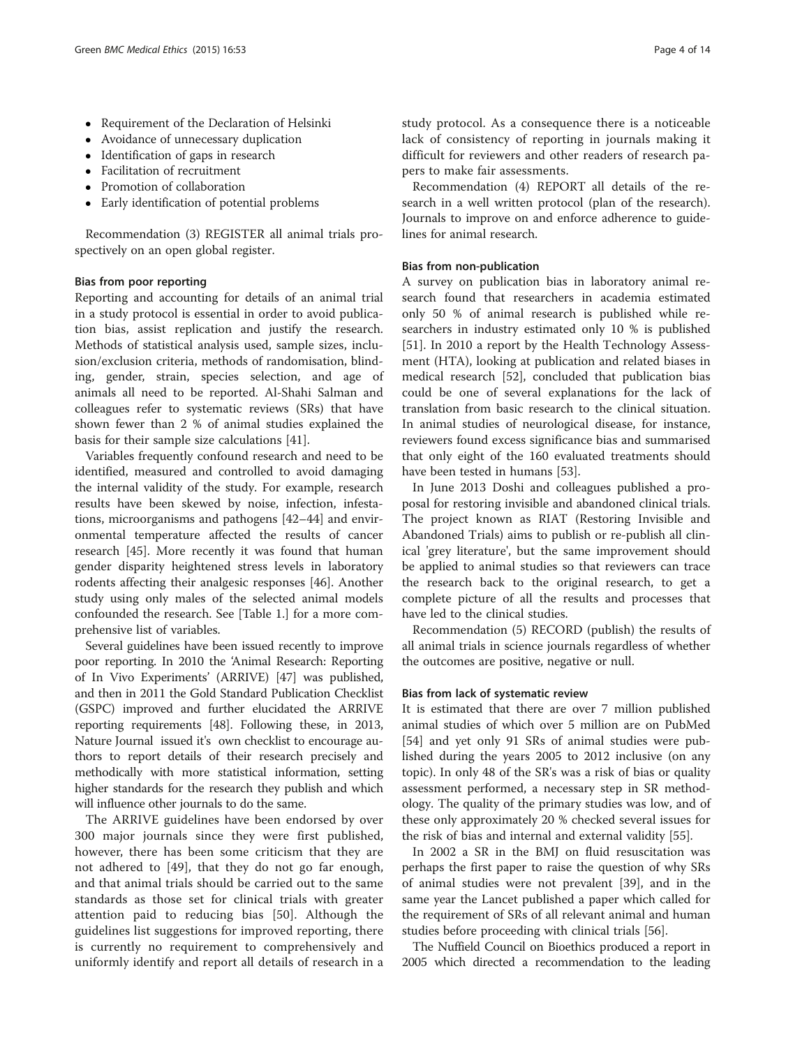- Requirement of the Declaration of Helsinki
- Avoidance of unnecessary duplication
- Identification of gaps in research
- Facilitation of recruitment
- Promotion of collaboration
- Early identification of potential problems

Recommendation (3) REGISTER all animal trials prospectively on an open global register.

### Bias from poor reporting

Reporting and accounting for details of an animal trial in a study protocol is essential in order to avoid publication bias, assist replication and justify the research. Methods of statistical analysis used, sample sizes, inclusion/exclusion criteria, methods of randomisation, blinding, gender, strain, species selection, and age of animals all need to be reported. Al-Shahi Salman and colleagues refer to systematic reviews (SRs) that have shown fewer than 2 % of animal studies explained the basis for their sample size calculations [[41\]](#page-12-0).

Variables frequently confound research and need to be identified, measured and controlled to avoid damaging the internal validity of the study. For example, research results have been skewed by noise, infection, infestations, microorganisms and pathogens [[42](#page-12-0)–[44](#page-12-0)] and environmental temperature affected the results of cancer research [[45](#page-12-0)]. More recently it was found that human gender disparity heightened stress levels in laboratory rodents affecting their analgesic responses [[46\]](#page-12-0). Another study using only males of the selected animal models confounded the research. See [Table [1.](#page-4-0)] for a more comprehensive list of variables.

Several guidelines have been issued recently to improve poor reporting. In 2010 the 'Animal Research: Reporting of In Vivo Experiments' (ARRIVE) [\[47\]](#page-12-0) was published, and then in 2011 the Gold Standard Publication Checklist (GSPC) improved and further elucidated the ARRIVE reporting requirements [[48](#page-12-0)]. Following these, in 2013, Nature Journal issued it's own checklist to encourage authors to report details of their research precisely and methodically with more statistical information, setting higher standards for the research they publish and which will influence other journals to do the same.

The ARRIVE guidelines have been endorsed by over 300 major journals since they were first published, however, there has been some criticism that they are not adhered to [[49\]](#page-12-0), that they do not go far enough, and that animal trials should be carried out to the same standards as those set for clinical trials with greater attention paid to reducing bias [[50\]](#page-12-0). Although the guidelines list suggestions for improved reporting, there is currently no requirement to comprehensively and uniformly identify and report all details of research in a study protocol. As a consequence there is a noticeable lack of consistency of reporting in journals making it difficult for reviewers and other readers of research papers to make fair assessments.

Recommendation (4) REPORT all details of the research in a well written protocol (plan of the research). Journals to improve on and enforce adherence to guidelines for animal research.

# Bias from non-publication

A survey on publication bias in laboratory animal research found that researchers in academia estimated only 50 % of animal research is published while researchers in industry estimated only 10 % is published [[51\]](#page-12-0). In 2010 a report by the Health Technology Assessment (HTA), looking at publication and related biases in medical research [[52](#page-12-0)], concluded that publication bias could be one of several explanations for the lack of translation from basic research to the clinical situation. In animal studies of neurological disease, for instance, reviewers found excess significance bias and summarised that only eight of the 160 evaluated treatments should have been tested in humans [[53\]](#page-12-0).

In June 2013 Doshi and colleagues published a proposal for restoring invisible and abandoned clinical trials. The project known as RIAT (Restoring Invisible and Abandoned Trials) aims to publish or re-publish all clinical 'grey literature', but the same improvement should be applied to animal studies so that reviewers can trace the research back to the original research, to get a complete picture of all the results and processes that have led to the clinical studies.

Recommendation (5) RECORD (publish) the results of all animal trials in science journals regardless of whether the outcomes are positive, negative or null.

### Bias from lack of systematic review

It is estimated that there are over 7 million published animal studies of which over 5 million are on PubMed [[54\]](#page-12-0) and yet only 91 SRs of animal studies were published during the years 2005 to 2012 inclusive (on any topic). In only 48 of the SR's was a risk of bias or quality assessment performed, a necessary step in SR methodology. The quality of the primary studies was low, and of these only approximately 20 % checked several issues for the risk of bias and internal and external validity [\[55](#page-12-0)].

In 2002 a SR in the BMJ on fluid resuscitation was perhaps the first paper to raise the question of why SRs of animal studies were not prevalent [[39](#page-12-0)], and in the same year the Lancet published a paper which called for the requirement of SRs of all relevant animal and human studies before proceeding with clinical trials [\[56](#page-12-0)].

The Nuffield Council on Bioethics produced a report in 2005 which directed a recommendation to the leading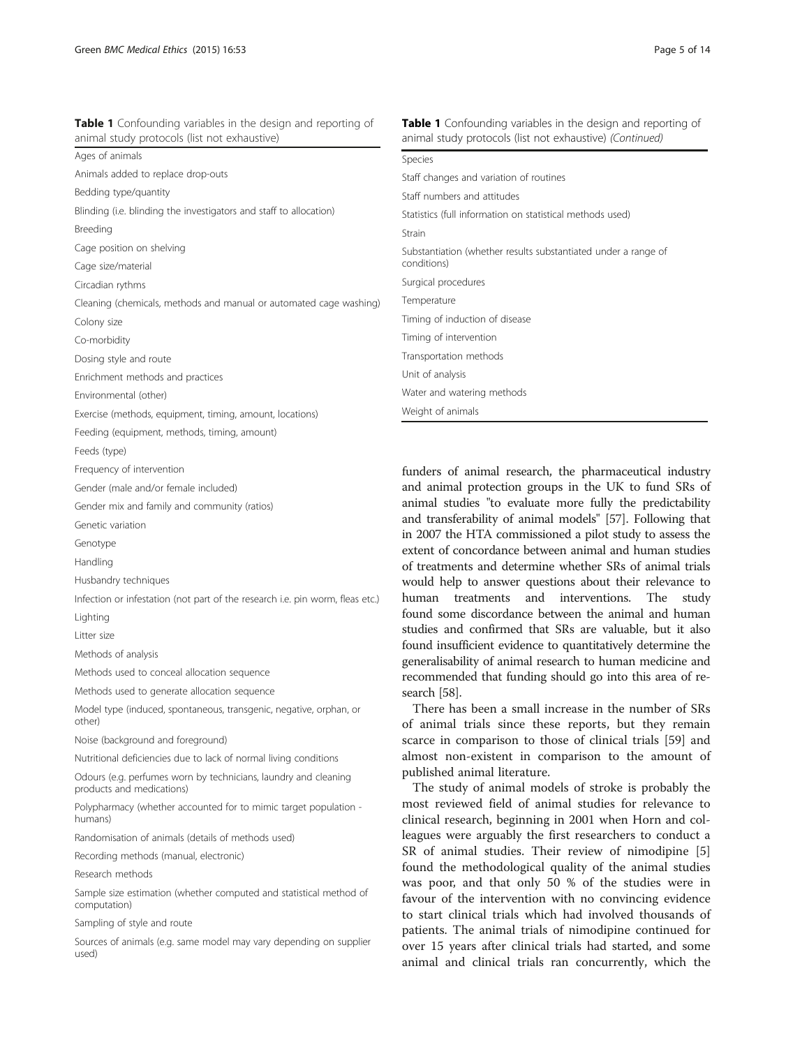| animal study protocols (list not exhaustive)                       | animal study protocols (list not exhaustive) (Continued)                      |
|--------------------------------------------------------------------|-------------------------------------------------------------------------------|
| Ages of animals                                                    | Species                                                                       |
| Animals added to replace drop-outs                                 | Staff changes and variation of routines                                       |
| Bedding type/quantity                                              | Staff numbers and attitudes                                                   |
| Blinding (i.e. blinding the investigators and staff to allocation) | Statistics (full information on statistical methods used)                     |
| Breeding                                                           | Strain                                                                        |
| Cage position on shelving                                          | Substantiation (whether results substantiated under a range of<br>conditions) |
| Cage size/material                                                 |                                                                               |
| Circadian rythms                                                   | Surgical procedures                                                           |
| Cleaning (chemicals, methods and manual or automated cage washing) | Temperature                                                                   |
| Colony size                                                        | Timing of induction of disease                                                |
| Co-morbidity                                                       | Timing of intervention                                                        |
| Dosing style and route                                             | Transportation methods                                                        |
| Enrichment methods and practices                                   | Unit of analysis                                                              |
| Environmental (other)                                              | Water and watering methods                                                    |
| Exercise (methods, equipment, timing, amount, locations)           | Weight of animals                                                             |
| Feeding (equipment, methods, timing, amount)                       |                                                                               |
| Feeds (type)                                                       |                                                                               |
| Frequency of intervention                                          | funders of animal research, the pharmaceutical industry                       |

<span id="page-4-0"></span>Table 1 Confounding variables in the design and reporting of

funders of animal research, the pharmaceutical industry and animal protection groups in the UK to fund SRs of animal studies "to evaluate more fully the predictability and transferability of animal models" [[57](#page-12-0)]. Following that in 2007 the HTA commissioned a pilot study to assess the extent of concordance between animal and human studies of treatments and determine whether SRs of animal trials would help to answer questions about their relevance to human treatments and interventions. The study found some discordance between the animal and human studies and confirmed that SRs are valuable, but it also found insufficient evidence to quantitatively determine the generalisability of animal research to human medicine and recommended that funding should go into this area of research [\[58\]](#page-12-0).

**Table 1** Confounding variables in the design and reporting of

There has been a small increase in the number of SRs of animal trials since these reports, but they remain scarce in comparison to those of clinical trials [[59\]](#page-12-0) and almost non-existent in comparison to the amount of published animal literature.

The study of animal models of stroke is probably the most reviewed field of animal studies for relevance to clinical research, beginning in 2001 when Horn and colleagues were arguably the first researchers to conduct a SR of animal studies. Their review of nimodipine [\[5](#page-11-0)] found the methodological quality of the animal studies was poor, and that only 50 % of the studies were in favour of the intervention with no convincing evidence to start clinical trials which had involved thousands of patients. The animal trials of nimodipine continued for over 15 years after clinical trials had started, and some animal and clinical trials ran concurrently, which the

Methods used to generate allocation sequence

Methods used to conceal allocation sequence

Gender (male and/or female included)

Genetic variation Genotype Handling

Lighting Litter size

Husbandry techniques

Methods of analysis

Gender mix and family and community (ratios)

Model type (induced, spontaneous, transgenic, negative, orphan, or other)

Infection or infestation (not part of the research i.e. pin worm, fleas etc.)

Noise (background and foreground)

Nutritional deficiencies due to lack of normal living conditions

Odours (e.g. perfumes worn by technicians, laundry and cleaning products and medications)

Polypharmacy (whether accounted for to mimic target population humans)

Randomisation of animals (details of methods used)

Recording methods (manual, electronic)

Research methods

Sample size estimation (whether computed and statistical method of computation)

Sampling of style and route

Sources of animals (e.g. same model may vary depending on supplier used)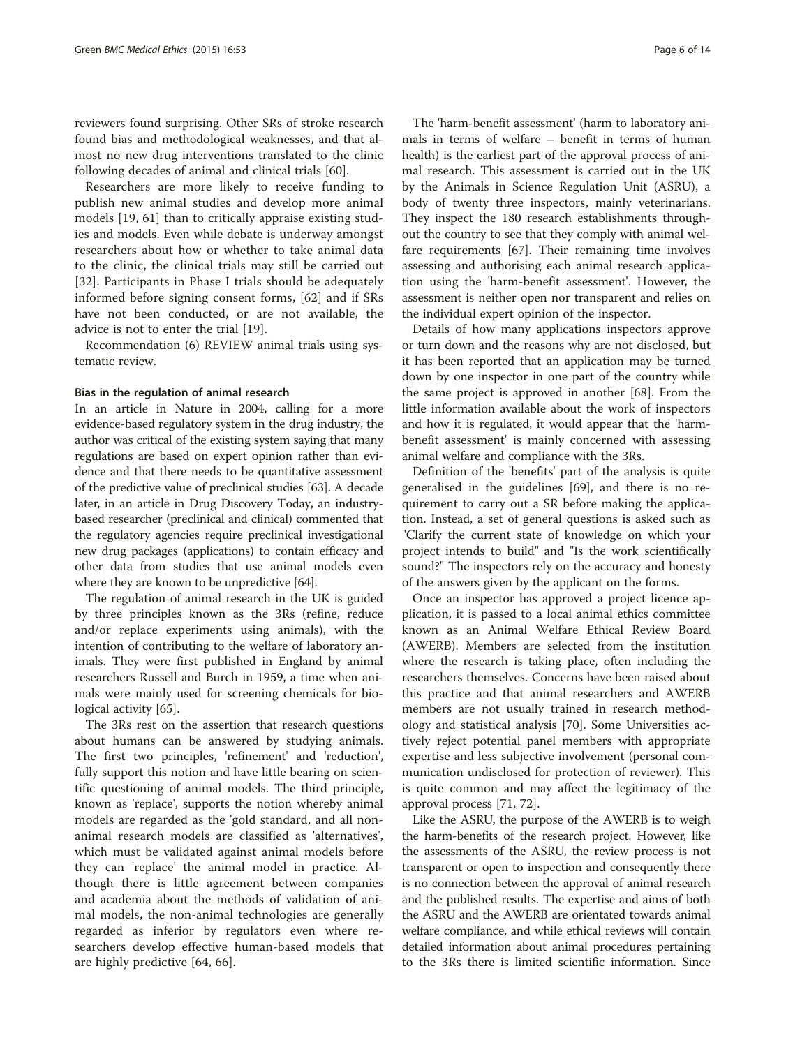reviewers found surprising. Other SRs of stroke research found bias and methodological weaknesses, and that almost no new drug interventions translated to the clinic following decades of animal and clinical trials [[60](#page-12-0)].

Researchers are more likely to receive funding to publish new animal studies and develop more animal models [[19, 61](#page-12-0)] than to critically appraise existing studies and models. Even while debate is underway amongst researchers about how or whether to take animal data to the clinic, the clinical trials may still be carried out [[32\]](#page-12-0). Participants in Phase I trials should be adequately informed before signing consent forms, [[62\]](#page-12-0) and if SRs have not been conducted, or are not available, the advice is not to enter the trial [\[19](#page-12-0)].

Recommendation (6) REVIEW animal trials using systematic review.

#### Bias in the regulation of animal research

In an article in Nature in 2004, calling for a more evidence-based regulatory system in the drug industry, the author was critical of the existing system saying that many regulations are based on expert opinion rather than evidence and that there needs to be quantitative assessment of the predictive value of preclinical studies [[63](#page-12-0)]. A decade later, in an article in Drug Discovery Today, an industrybased researcher (preclinical and clinical) commented that the regulatory agencies require preclinical investigational new drug packages (applications) to contain efficacy and other data from studies that use animal models even where they are known to be unpredictive [[64](#page-12-0)].

The regulation of animal research in the UK is guided by three principles known as the 3Rs (refine, reduce and/or replace experiments using animals), with the intention of contributing to the welfare of laboratory animals. They were first published in England by animal researchers Russell and Burch in 1959, a time when animals were mainly used for screening chemicals for bio-logical activity [\[65\]](#page-12-0).

The 3Rs rest on the assertion that research questions about humans can be answered by studying animals. The first two principles, 'refinement' and 'reduction', fully support this notion and have little bearing on scientific questioning of animal models. The third principle, known as 'replace', supports the notion whereby animal models are regarded as the 'gold standard, and all nonanimal research models are classified as 'alternatives', which must be validated against animal models before they can 'replace' the animal model in practice. Although there is little agreement between companies and academia about the methods of validation of animal models, the non-animal technologies are generally regarded as inferior by regulators even where researchers develop effective human-based models that are highly predictive [[64](#page-12-0), [66](#page-13-0)].

The 'harm-benefit assessment' (harm to laboratory animals in terms of welfare – benefit in terms of human health) is the earliest part of the approval process of animal research. This assessment is carried out in the UK by the Animals in Science Regulation Unit (ASRU), a body of twenty three inspectors, mainly veterinarians. They inspect the 180 research establishments throughout the country to see that they comply with animal welfare requirements [[67\]](#page-13-0). Their remaining time involves assessing and authorising each animal research application using the 'harm-benefit assessment'. However, the assessment is neither open nor transparent and relies on the individual expert opinion of the inspector.

Details of how many applications inspectors approve or turn down and the reasons why are not disclosed, but it has been reported that an application may be turned down by one inspector in one part of the country while the same project is approved in another [[68\]](#page-13-0). From the little information available about the work of inspectors and how it is regulated, it would appear that the 'harmbenefit assessment' is mainly concerned with assessing animal welfare and compliance with the 3Rs.

Definition of the 'benefits' part of the analysis is quite generalised in the guidelines [[69](#page-13-0)], and there is no requirement to carry out a SR before making the application. Instead, a set of general questions is asked such as "Clarify the current state of knowledge on which your project intends to build" and "Is the work scientifically sound?" The inspectors rely on the accuracy and honesty of the answers given by the applicant on the forms.

Once an inspector has approved a project licence application, it is passed to a local animal ethics committee known as an Animal Welfare Ethical Review Board (AWERB). Members are selected from the institution where the research is taking place, often including the researchers themselves. Concerns have been raised about this practice and that animal researchers and AWERB members are not usually trained in research methodology and statistical analysis [\[70\]](#page-13-0). Some Universities actively reject potential panel members with appropriate expertise and less subjective involvement (personal communication undisclosed for protection of reviewer). This is quite common and may affect the legitimacy of the approval process [\[71](#page-13-0), [72\]](#page-13-0).

Like the ASRU, the purpose of the AWERB is to weigh the harm-benefits of the research project. However, like the assessments of the ASRU, the review process is not transparent or open to inspection and consequently there is no connection between the approval of animal research and the published results. The expertise and aims of both the ASRU and the AWERB are orientated towards animal welfare compliance, and while ethical reviews will contain detailed information about animal procedures pertaining to the 3Rs there is limited scientific information. Since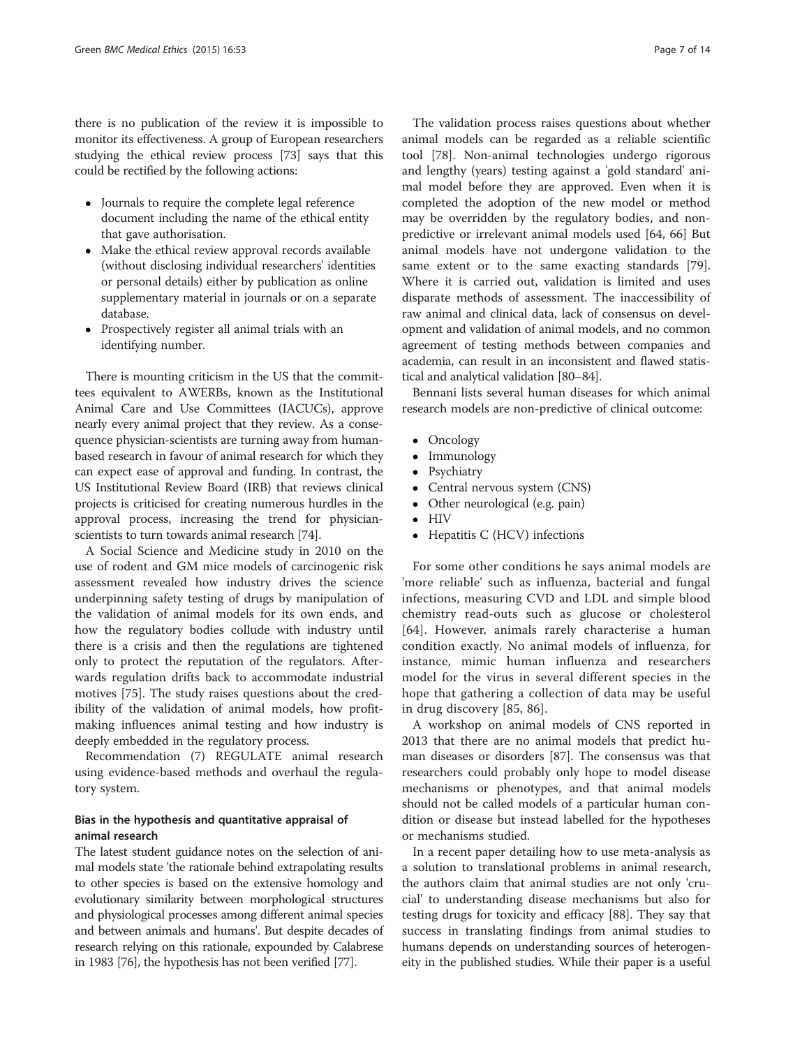there is no publication of the review it is impossible to monitor its effectiveness. A group of European researchers studying the ethical review process [\[73\]](#page-13-0) says that this could be rectified by the following actions:

- Journals to require the complete legal reference document including the name of the ethical entity that gave authorisation.
- Make the ethical review approval records available (without disclosing individual researchers' identities or personal details) either by publication as online supplementary material in journals or on a separate database.
- Prospectively register all animal trials with an identifying number.

There is mounting criticism in the US that the committees equivalent to AWERBs, known as the Institutional Animal Care and Use Committees (IACUCs), approve nearly every animal project that they review. As a consequence physician-scientists are turning away from humanbased research in favour of animal research for which they can expect ease of approval and funding. In contrast, the US Institutional Review Board (IRB) that reviews clinical projects is criticised for creating numerous hurdles in the approval process, increasing the trend for physicianscientists to turn towards animal research [[74](#page-13-0)].

A Social Science and Medicine study in 2010 on the use of rodent and GM mice models of carcinogenic risk assessment revealed how industry drives the science underpinning safety testing of drugs by manipulation of the validation of animal models for its own ends, and how the regulatory bodies collude with industry until there is a crisis and then the regulations are tightened only to protect the reputation of the regulators. Afterwards regulation drifts back to accommodate industrial motives [[75\]](#page-13-0). The study raises questions about the credibility of the validation of animal models, how profitmaking influences animal testing and how industry is deeply embedded in the regulatory process.

Recommendation (7) REGULATE animal research using evidence-based methods and overhaul the regulatory system.

# Bias in the hypothesis and quantitative appraisal of animal research

The latest student guidance notes on the selection of animal models state 'the rationale behind extrapolating results to other species is based on the extensive homology and evolutionary similarity between morphological structures and physiological processes among different animal species and between animals and humans'. But despite decades of research relying on this rationale, expounded by Calabrese in 1983 [[76](#page-13-0)], the hypothesis has not been verified [[77](#page-13-0)].

The validation process raises questions about whether animal models can be regarded as a reliable scientific tool [\[78\]](#page-13-0). Non-animal technologies undergo rigorous and lengthy (years) testing against a 'gold standard' animal model before they are approved. Even when it is completed the adoption of the new model or method may be overridden by the regulatory bodies, and nonpredictive or irrelevant animal models used [\[64](#page-12-0), [66\]](#page-13-0) But animal models have not undergone validation to the same extent or to the same exacting standards [\[79](#page-13-0)]. Where it is carried out, validation is limited and uses disparate methods of assessment. The inaccessibility of raw animal and clinical data, lack of consensus on development and validation of animal models, and no common agreement of testing methods between companies and academia, can result in an inconsistent and flawed statistical and analytical validation [[80](#page-13-0)–[84\]](#page-13-0).

Bennani lists several human diseases for which animal research models are non-predictive of clinical outcome:

- Oncology
- Immunology<br>• Psychiatry
- Psychiatry
- Central nervous system (CNS)<br>• Other neurological (e.g. pain)
- Other neurological (e.g. pain)
- HIV
- Hepatitis C (HCV) infections

For some other conditions he says animal models are 'more reliable' such as influenza, bacterial and fungal infections, measuring CVD and LDL and simple blood chemistry read-outs such as glucose or cholesterol [[64](#page-12-0)]. However, animals rarely characterise a human condition exactly. No animal models of influenza, for instance, mimic human influenza and researchers model for the virus in several different species in the hope that gathering a collection of data may be useful in drug discovery [[85](#page-13-0), [86](#page-13-0)].

A workshop on animal models of CNS reported in 2013 that there are no animal models that predict human diseases or disorders [[87](#page-13-0)]. The consensus was that researchers could probably only hope to model disease mechanisms or phenotypes, and that animal models should not be called models of a particular human condition or disease but instead labelled for the hypotheses or mechanisms studied.

In a recent paper detailing how to use meta-analysis as a solution to translational problems in animal research, the authors claim that animal studies are not only 'crucial' to understanding disease mechanisms but also for testing drugs for toxicity and efficacy [\[88](#page-13-0)]. They say that success in translating findings from animal studies to humans depends on understanding sources of heterogeneity in the published studies. While their paper is a useful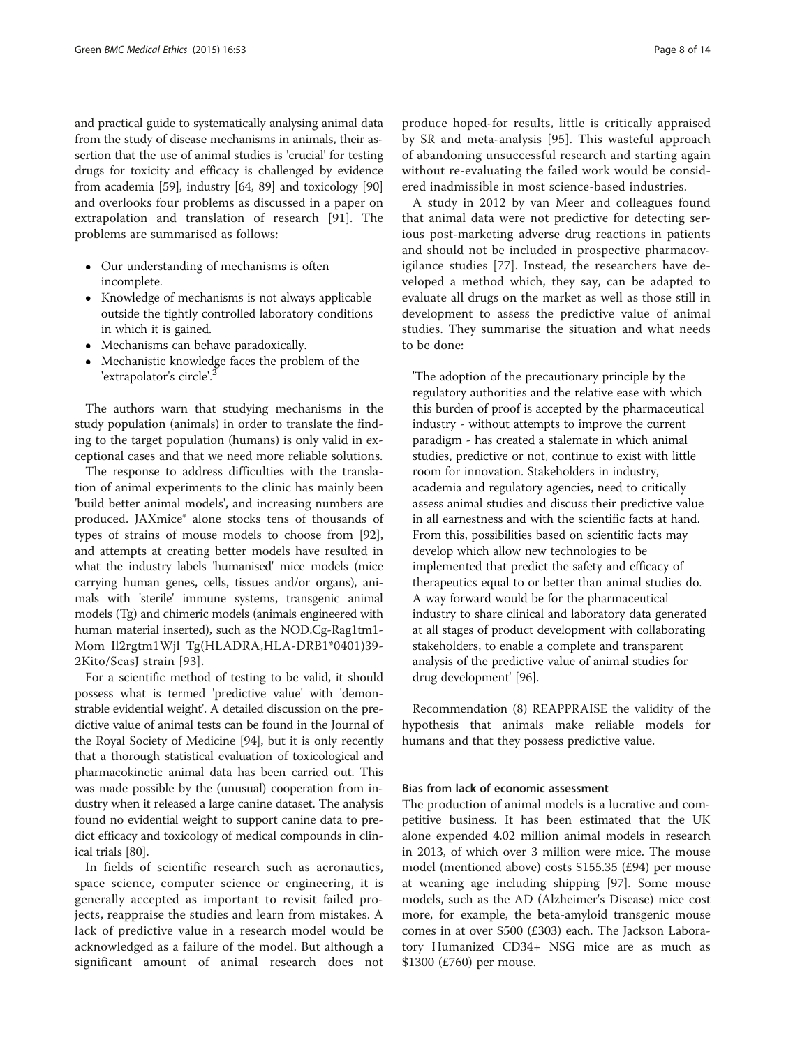and practical guide to systematically analysing animal data from the study of disease mechanisms in animals, their assertion that the use of animal studies is 'crucial' for testing drugs for toxicity and efficacy is challenged by evidence from academia [\[59\]](#page-12-0), industry [[64](#page-12-0), [89\]](#page-13-0) and toxicology [[90](#page-13-0)] and overlooks four problems as discussed in a paper on extrapolation and translation of research [[91\]](#page-13-0). The problems are summarised as follows:

- Our understanding of mechanisms is often incomplete.
- Knowledge of mechanisms is not always applicable outside the tightly controlled laboratory conditions in which it is gained.
- Mechanisms can behave paradoxically.
- Mechanistic knowledge faces the problem of the 'extrapolator's circle'.<sup>2</sup>

The authors warn that studying mechanisms in the study population (animals) in order to translate the finding to the target population (humans) is only valid in exceptional cases and that we need more reliable solutions.

The response to address difficulties with the translation of animal experiments to the clinic has mainly been 'build better animal models', and increasing numbers are produced. JAXmice® alone stocks tens of thousands of types of strains of mouse models to choose from [\[92](#page-13-0)], and attempts at creating better models have resulted in what the industry labels 'humanised' mice models (mice carrying human genes, cells, tissues and/or organs), animals with 'sterile' immune systems, transgenic animal models (Tg) and chimeric models (animals engineered with human material inserted), such as the NOD.Cg-Rag1tm1- Mom Il2rgtm1Wjl Tg(HLADRA,HLA-DRB1\*0401)39- 2Kito/ScasJ strain [[93](#page-13-0)].

For a scientific method of testing to be valid, it should possess what is termed 'predictive value' with 'demonstrable evidential weight'. A detailed discussion on the predictive value of animal tests can be found in the Journal of the Royal Society of Medicine [[94](#page-13-0)], but it is only recently that a thorough statistical evaluation of toxicological and pharmacokinetic animal data has been carried out. This was made possible by the (unusual) cooperation from industry when it released a large canine dataset. The analysis found no evidential weight to support canine data to predict efficacy and toxicology of medical compounds in clinical trials [\[80\]](#page-13-0).

In fields of scientific research such as aeronautics, space science, computer science or engineering, it is generally accepted as important to revisit failed projects, reappraise the studies and learn from mistakes. A lack of predictive value in a research model would be acknowledged as a failure of the model. But although a significant amount of animal research does not

produce hoped-for results, little is critically appraised by SR and meta-analysis [\[95](#page-13-0)]. This wasteful approach of abandoning unsuccessful research and starting again without re-evaluating the failed work would be considered inadmissible in most science-based industries.

A study in 2012 by van Meer and colleagues found that animal data were not predictive for detecting serious post-marketing adverse drug reactions in patients and should not be included in prospective pharmacovigilance studies [[77](#page-13-0)]. Instead, the researchers have developed a method which, they say, can be adapted to evaluate all drugs on the market as well as those still in development to assess the predictive value of animal studies. They summarise the situation and what needs to be done:

'The adoption of the precautionary principle by the regulatory authorities and the relative ease with which this burden of proof is accepted by the pharmaceutical industry - without attempts to improve the current paradigm - has created a stalemate in which animal studies, predictive or not, continue to exist with little room for innovation. Stakeholders in industry, academia and regulatory agencies, need to critically assess animal studies and discuss their predictive value in all earnestness and with the scientific facts at hand. From this, possibilities based on scientific facts may develop which allow new technologies to be implemented that predict the safety and efficacy of therapeutics equal to or better than animal studies do. A way forward would be for the pharmaceutical industry to share clinical and laboratory data generated at all stages of product development with collaborating stakeholders, to enable a complete and transparent analysis of the predictive value of animal studies for drug development' [[96](#page-13-0)].

Recommendation (8) REAPPRAISE the validity of the hypothesis that animals make reliable models for humans and that they possess predictive value.

## Bias from lack of economic assessment

The production of animal models is a lucrative and competitive business. It has been estimated that the UK alone expended 4.02 million animal models in research in 2013, of which over 3 million were mice. The mouse model (mentioned above) costs \$155.35 (£94) per mouse at weaning age including shipping [[97\]](#page-13-0). Some mouse models, such as the AD (Alzheimer's Disease) mice cost more, for example, the beta-amyloid transgenic mouse comes in at over \$500 (£303) each. The Jackson Laboratory Humanized CD34+ NSG mice are as much as \$1300 (£760) per mouse.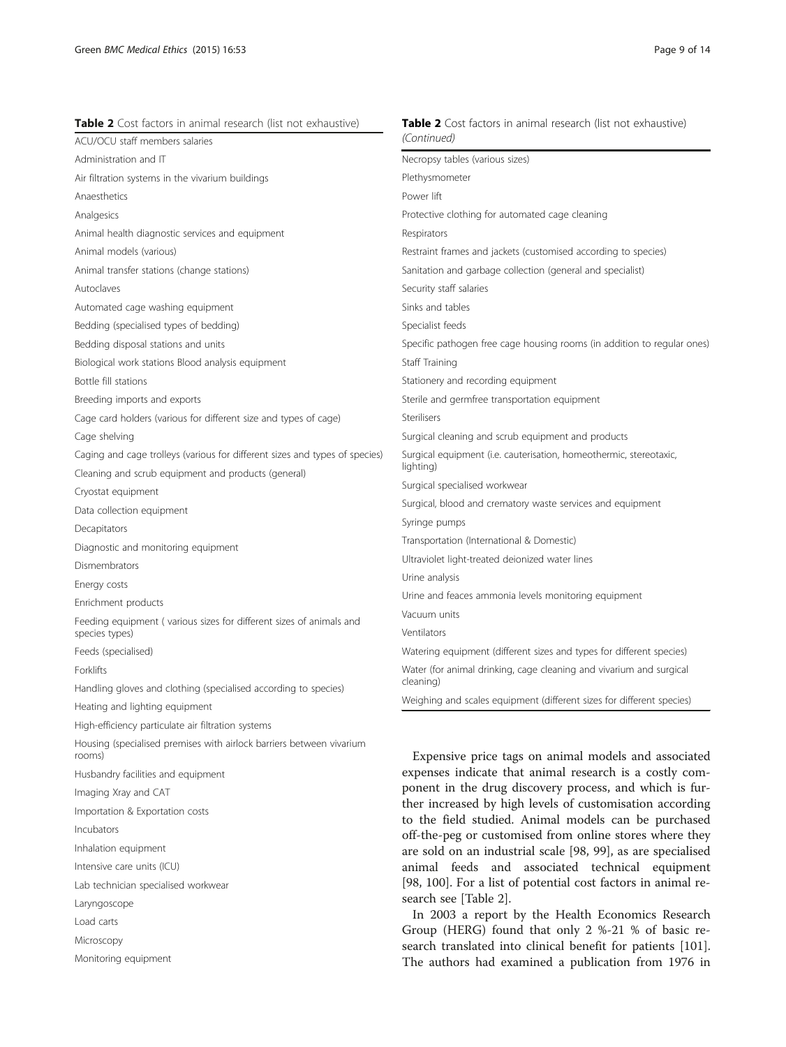rooms)

Incubators

Laryngoscope Load carts Microscopy

Husbandry facilities and equipment

Lab technician specialised workwear

Importation & Exportation costs

Imaging Xray and CAT

Inhalation equipment Intensive care units (ICU)

Monitoring equipment

| <b>Table 2</b> Cost factors in animal research (list not exhaustive)        | <b>Table 2</b> Cost factors in animal research (list not exhaustive)             |
|-----------------------------------------------------------------------------|----------------------------------------------------------------------------------|
| ACU/OCU staff members salaries                                              | (Continued)                                                                      |
| Administration and IT                                                       | Necropsy tables (various sizes)                                                  |
| Air filtration systems in the vivarium buildings                            | Plethysmometer                                                                   |
| Anaesthetics                                                                | Power lift                                                                       |
| Analgesics                                                                  | Protective clothing for automated cage cleaning                                  |
| Animal health diagnostic services and equipment                             | Respirators                                                                      |
| Animal models (various)                                                     | Restraint frames and jackets (customised according to species)                   |
| Animal transfer stations (change stations)                                  | Sanitation and garbage collection (general and specialist)                       |
| Autoclaves                                                                  | Security staff salaries                                                          |
| Automated cage washing equipment                                            | Sinks and tables                                                                 |
| Bedding (specialised types of bedding)                                      | Specialist feeds                                                                 |
| Bedding disposal stations and units                                         | Specific pathogen free cage housing rooms (in addition to regular ones)          |
| Biological work stations Blood analysis equipment                           | Staff Training                                                                   |
| Bottle fill stations                                                        | Stationery and recording equipment                                               |
| Breeding imports and exports                                                | Sterile and germfree transportation equipment                                    |
| Cage card holders (various for different size and types of cage)            | Sterilisers                                                                      |
| Cage shelving                                                               | Surgical cleaning and scrub equipment and products                               |
| Caging and cage trolleys (various for different sizes and types of species) | Surgical equipment (i.e. cauterisation, homeothermic, stereotaxic,               |
| Cleaning and scrub equipment and products (general)                         | lighting)                                                                        |
| Cryostat equipment                                                          | Surgical specialised workwear                                                    |
| Data collection equipment                                                   | Surgical, blood and crematory waste services and equipment                       |
| Decapitators                                                                | Syringe pumps                                                                    |
| Diagnostic and monitoring equipment                                         | Transportation (International & Domestic)                                        |
| Dismembrators                                                               | Ultraviolet light-treated deionized water lines                                  |
| Energy costs                                                                | Urine analysis                                                                   |
| Enrichment products                                                         | Urine and feaces ammonia levels monitoring equipment                             |
| Feeding equipment (various sizes for different sizes of animals and         | Vacuum units<br>Ventilators                                                      |
| species types)                                                              |                                                                                  |
| Feeds (specialised)                                                         | Watering equipment (different sizes and types for different species)             |
| Forklifts                                                                   | Water (for animal drinking, cage cleaning and vivarium and surgical<br>cleaning) |
| Handling gloves and clothing (specialised according to species)             | Weighing and scales equipment (different sizes for different species)            |
| Heating and lighting equipment                                              |                                                                                  |
| High-efficiency particulate air filtration systems                          |                                                                                  |
| Housing (specialised premises with airlock barriers between vivarium        |                                                                                  |

Expensive price tags on animal models and associated expenses indicate that animal research is a costly component in the drug discovery process, and which is further increased by high levels of customisation according to the field studied. Animal models can be purchased off-the-peg or customised from online stores where they are sold on an industrial scale [[98](#page-13-0), [99\]](#page-13-0), as are specialised animal feeds and associated technical equipment [[98, 100\]](#page-13-0). For a list of potential cost factors in animal research see [Table 2].

In 2003 a report by the Health Economics Research Group (HERG) found that only 2 %-21 % of basic research translated into clinical benefit for patients [[101](#page-13-0)]. The authors had examined a publication from 1976 in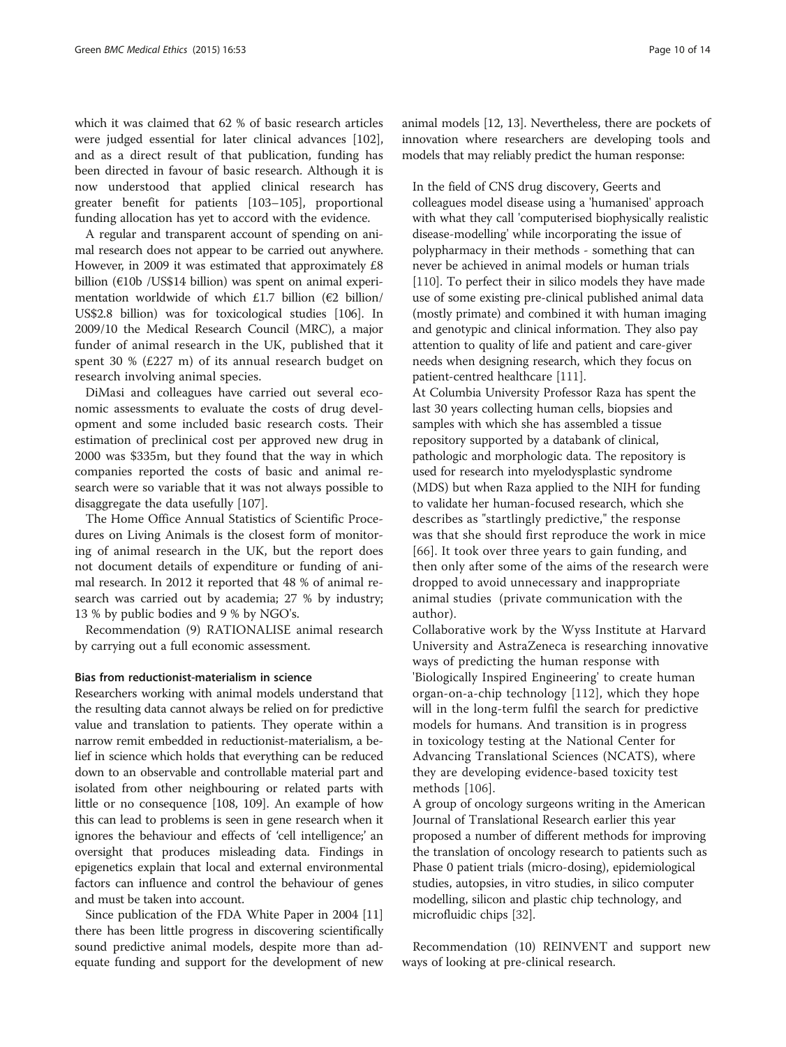which it was claimed that 62 % of basic research articles were judged essential for later clinical advances [\[102](#page-13-0)], and as a direct result of that publication, funding has been directed in favour of basic research. Although it is now understood that applied clinical research has greater benefit for patients [[103](#page-13-0)–[105](#page-13-0)], proportional funding allocation has yet to accord with the evidence.

A regular and transparent account of spending on animal research does not appear to be carried out anywhere. However, in 2009 it was estimated that approximately £8 billion (€10b /US\$14 billion) was spent on animal experimentation worldwide of which £1.7 billion (€2 billion/ US\$2.8 billion) was for toxicological studies [\[106\]](#page-13-0). In 2009/10 the Medical Research Council (MRC), a major funder of animal research in the UK, published that it spent 30 % (£227 m) of its annual research budget on research involving animal species.

DiMasi and colleagues have carried out several economic assessments to evaluate the costs of drug development and some included basic research costs. Their estimation of preclinical cost per approved new drug in 2000 was \$335m, but they found that the way in which companies reported the costs of basic and animal research were so variable that it was not always possible to disaggregate the data usefully [\[107\]](#page-13-0).

The Home Office Annual Statistics of Scientific Procedures on Living Animals is the closest form of monitoring of animal research in the UK, but the report does not document details of expenditure or funding of animal research. In 2012 it reported that 48 % of animal research was carried out by academia; 27 % by industry; 13 % by public bodies and 9 % by NGO's.

Recommendation (9) RATIONALISE animal research by carrying out a full economic assessment.

### Bias from reductionist-materialism in science

Researchers working with animal models understand that the resulting data cannot always be relied on for predictive value and translation to patients. They operate within a narrow remit embedded in reductionist-materialism, a belief in science which holds that everything can be reduced down to an observable and controllable material part and isolated from other neighbouring or related parts with little or no consequence [[108](#page-13-0), [109\]](#page-13-0). An example of how this can lead to problems is seen in gene research when it ignores the behaviour and effects of 'cell intelligence;' an oversight that produces misleading data. Findings in epigenetics explain that local and external environmental factors can influence and control the behaviour of genes and must be taken into account.

Since publication of the FDA White Paper in 2004 [[11](#page-12-0)] there has been little progress in discovering scientifically sound predictive animal models, despite more than adequate funding and support for the development of new animal models [[12](#page-12-0), [13\]](#page-12-0). Nevertheless, there are pockets of innovation where researchers are developing tools and models that may reliably predict the human response:

In the field of CNS drug discovery, Geerts and colleagues model disease using a 'humanised' approach with what they call 'computerised biophysically realistic disease-modelling' while incorporating the issue of polypharmacy in their methods - something that can never be achieved in animal models or human trials [[110](#page-13-0)]. To perfect their in silico models they have made use of some existing pre-clinical published animal data (mostly primate) and combined it with human imaging and genotypic and clinical information. They also pay attention to quality of life and patient and care-giver needs when designing research, which they focus on patient-centred healthcare [[111](#page-13-0)].

At Columbia University Professor Raza has spent the last 30 years collecting human cells, biopsies and samples with which she has assembled a tissue repository supported by a databank of clinical, pathologic and morphologic data. The repository is used for research into myelodysplastic syndrome (MDS) but when Raza applied to the NIH for funding to validate her human-focused research, which she describes as "startlingly predictive," the response was that she should first reproduce the work in mice [[66](#page-13-0)]. It took over three years to gain funding, and then only after some of the aims of the research were dropped to avoid unnecessary and inappropriate animal studies (private communication with the author).

Collaborative work by the Wyss Institute at Harvard University and AstraZeneca is researching innovative ways of predicting the human response with 'Biologically Inspired Engineering' to create human organ-on-a-chip technology [\[112](#page-13-0)], which they hope will in the long-term fulfil the search for predictive models for humans. And transition is in progress in toxicology testing at the National Center for Advancing Translational Sciences (NCATS), where they are developing evidence-based toxicity test methods [\[106](#page-13-0)].

A group of oncology surgeons writing in the American Journal of Translational Research earlier this year proposed a number of different methods for improving the translation of oncology research to patients such as Phase 0 patient trials (micro-dosing), epidemiological studies, autopsies, in vitro studies, in silico computer modelling, silicon and plastic chip technology, and microfluidic chips [\[32\]](#page-12-0).

Recommendation (10) REINVENT and support new ways of looking at pre-clinical research.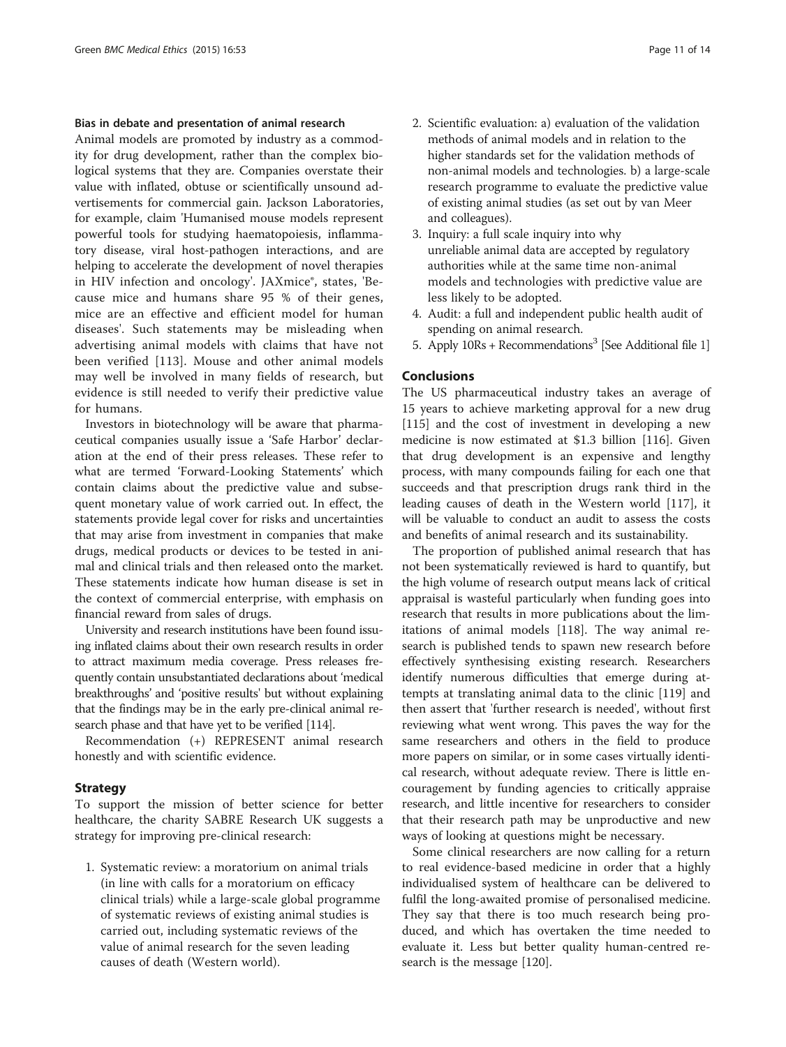#### Bias in debate and presentation of animal research

Animal models are promoted by industry as a commodity for drug development, rather than the complex biological systems that they are. Companies overstate their value with inflated, obtuse or scientifically unsound advertisements for commercial gain. Jackson Laboratories, for example, claim 'Humanised mouse models represent powerful tools for studying haematopoiesis, inflammatory disease, viral host-pathogen interactions, and are helping to accelerate the development of novel therapies in HIV infection and oncology'. JAXmice®, states, 'Because mice and humans share 95 % of their genes, mice are an effective and efficient model for human diseases'. Such statements may be misleading when advertising animal models with claims that have not been verified [[113](#page-13-0)]. Mouse and other animal models may well be involved in many fields of research, but evidence is still needed to verify their predictive value for humans.

Investors in biotechnology will be aware that pharmaceutical companies usually issue a 'Safe Harbor' declaration at the end of their press releases. These refer to what are termed 'Forward-Looking Statements' which contain claims about the predictive value and subsequent monetary value of work carried out. In effect, the statements provide legal cover for risks and uncertainties that may arise from investment in companies that make drugs, medical products or devices to be tested in animal and clinical trials and then released onto the market. These statements indicate how human disease is set in the context of commercial enterprise, with emphasis on financial reward from sales of drugs.

University and research institutions have been found issuing inflated claims about their own research results in order to attract maximum media coverage. Press releases frequently contain unsubstantiated declarations about 'medical breakthroughs' and 'positive results' but without explaining that the findings may be in the early pre-clinical animal research phase and that have yet to be verified [\[114](#page-13-0)].

Recommendation (+) REPRESENT animal research honestly and with scientific evidence.

#### Strategy

To support the mission of better science for better healthcare, the charity SABRE Research UK suggests a strategy for improving pre-clinical research:

1. Systematic review: a moratorium on animal trials (in line with calls for a moratorium on efficacy clinical trials) while a large-scale global programme of systematic reviews of existing animal studies is carried out, including systematic reviews of the value of animal research for the seven leading causes of death (Western world).

- 2. Scientific evaluation: a) evaluation of the validation methods of animal models and in relation to the higher standards set for the validation methods of non-animal models and technologies. b) a large-scale research programme to evaluate the predictive value of existing animal studies (as set out by van Meer and colleagues).
- 3. Inquiry: a full scale inquiry into why unreliable animal data are accepted by regulatory authorities while at the same time non-animal models and technologies with predictive value are less likely to be adopted.
- 4. Audit: a full and independent public health audit of spending on animal research.
- 5. Apply  $10Rs + Recommendations<sup>3</sup>$  $10Rs + Recommendations<sup>3</sup>$  [See Additional file 1]

# Conclusions

The US pharmaceutical industry takes an average of 15 years to achieve marketing approval for a new drug [[115\]](#page-13-0) and the cost of investment in developing a new medicine is now estimated at \$1.3 billion [[116\]](#page-13-0). Given that drug development is an expensive and lengthy process, with many compounds failing for each one that succeeds and that prescription drugs rank third in the leading causes of death in the Western world [\[117](#page-13-0)], it will be valuable to conduct an audit to assess the costs and benefits of animal research and its sustainability.

The proportion of published animal research that has not been systematically reviewed is hard to quantify, but the high volume of research output means lack of critical appraisal is wasteful particularly when funding goes into research that results in more publications about the limitations of animal models [\[118\]](#page-13-0). The way animal research is published tends to spawn new research before effectively synthesising existing research. Researchers identify numerous difficulties that emerge during attempts at translating animal data to the clinic [\[119\]](#page-13-0) and then assert that 'further research is needed', without first reviewing what went wrong. This paves the way for the same researchers and others in the field to produce more papers on similar, or in some cases virtually identical research, without adequate review. There is little encouragement by funding agencies to critically appraise research, and little incentive for researchers to consider that their research path may be unproductive and new ways of looking at questions might be necessary.

Some clinical researchers are now calling for a return to real evidence-based medicine in order that a highly individualised system of healthcare can be delivered to fulfil the long-awaited promise of personalised medicine. They say that there is too much research being produced, and which has overtaken the time needed to evaluate it. Less but better quality human-centred research is the message [\[120](#page-13-0)].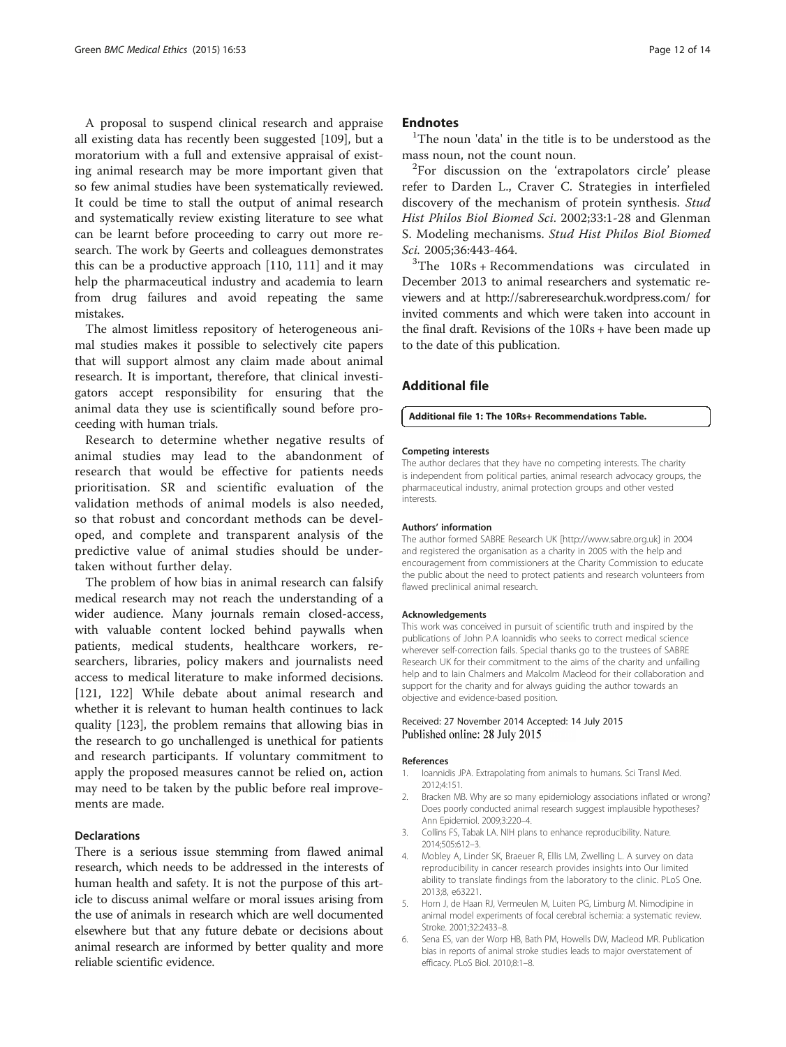<span id="page-11-0"></span>A proposal to suspend clinical research and appraise all existing data has recently been suggested [[109\]](#page-13-0), but a moratorium with a full and extensive appraisal of existing animal research may be more important given that so few animal studies have been systematically reviewed. It could be time to stall the output of animal research and systematically review existing literature to see what can be learnt before proceeding to carry out more research. The work by Geerts and colleagues demonstrates this can be a productive approach [\[110](#page-13-0), [111](#page-13-0)] and it may help the pharmaceutical industry and academia to learn from drug failures and avoid repeating the same mistakes.

The almost limitless repository of heterogeneous animal studies makes it possible to selectively cite papers that will support almost any claim made about animal research. It is important, therefore, that clinical investigators accept responsibility for ensuring that the animal data they use is scientifically sound before proceeding with human trials.

Research to determine whether negative results of animal studies may lead to the abandonment of research that would be effective for patients needs prioritisation. SR and scientific evaluation of the validation methods of animal models is also needed, so that robust and concordant methods can be developed, and complete and transparent analysis of the predictive value of animal studies should be undertaken without further delay.

The problem of how bias in animal research can falsify medical research may not reach the understanding of a wider audience. Many journals remain closed-access, with valuable content locked behind paywalls when patients, medical students, healthcare workers, researchers, libraries, policy makers and journalists need access to medical literature to make informed decisions. [[121, 122\]](#page-13-0) While debate about animal research and whether it is relevant to human health continues to lack quality [\[123\]](#page-13-0), the problem remains that allowing bias in the research to go unchallenged is unethical for patients and research participants. If voluntary commitment to apply the proposed measures cannot be relied on, action may need to be taken by the public before real improvements are made.

#### **Declarations**

There is a serious issue stemming from flawed animal research, which needs to be addressed in the interests of human health and safety. It is not the purpose of this article to discuss animal welfare or moral issues arising from the use of animals in research which are well documented elsewhere but that any future debate or decisions about animal research are informed by better quality and more reliable scientific evidence.

#### **Endnotes**

 $1$ The noun 'data' in the title is to be understood as the mass noun, not the count noun. <sup>2</sup>

 ${}^{2}$ For discussion on the 'extrapolators circle' please refer to Darden L., Craver C. Strategies in interfieled discovery of the mechanism of protein synthesis. Stud Hist Philos Biol Biomed Sci. 2002;33:1-28 and Glenman S. Modeling mechanisms. Stud Hist Philos Biol Biomed Sci. 2005;36:443-464.

 $3$ The 10Rs + Recommendations was circulated in December 2013 to animal researchers and systematic reviewers and at<http://sabreresearchuk.wordpress.com/> for invited comments and which were taken into account in the final draft. Revisions of the 10Rs + have been made up to the date of this publication.

### Additional file

# [Additional file 1: The 10Rs+ Recommendations Table.](http://www.biomedcentral.com/content/supplementary/s12910-015-0043-7-s1.docx)

#### Competing interests

The author declares that they have no competing interests. The charity is independent from political parties, animal research advocacy groups, the pharmaceutical industry, animal protection groups and other vested interests.

#### Authors' information

The author formed SABRE Research UK [\[http://www.sabre.org.uk\]](http://www.sabre.org.uk) in 2004 and registered the organisation as a charity in 2005 with the help and encouragement from commissioners at the Charity Commission to educate the public about the need to protect patients and research volunteers from flawed preclinical animal research.

#### Acknowledgements

This work was conceived in pursuit of scientific truth and inspired by the publications of John P.A Ioannidis who seeks to correct medical science wherever self-correction fails. Special thanks go to the trustees of SABRE Research UK for their commitment to the aims of the charity and unfailing help and to Iain Chalmers and Malcolm Macleod for their collaboration and support for the charity and for always guiding the author towards an objective and evidence-based position.

# Received: 27 November 2014 Accepted: 14 July 2015

#### References

- 1. Ioannidis JPA. Extrapolating from animals to humans. Sci Transl Med. 2012;4:151.
- 2. Bracken MB. Why are so many epidemiology associations inflated or wrong? Does poorly conducted animal research suggest implausible hypotheses? Ann Epidemiol. 2009;3:220–4.
- 3. Collins FS, Tabak LA. NIH plans to enhance reproducibility. Nature. 2014;505:612–3.
- 4. Mobley A, Linder SK, Braeuer R, Ellis LM, Zwelling L. A survey on data reproducibility in cancer research provides insights into Our limited ability to translate findings from the laboratory to the clinic. PLoS One. 2013;8, e63221.
- 5. Horn J, de Haan RJ, Vermeulen M, Luiten PG, Limburg M. Nimodipine in animal model experiments of focal cerebral ischemia: a systematic review. Stroke. 2001;32:2433–8.
- 6. Sena ES, van der Worp HB, Bath PM, Howells DW, Macleod MR. Publication bias in reports of animal stroke studies leads to major overstatement of efficacy. PLoS Biol. 2010;8:1–8.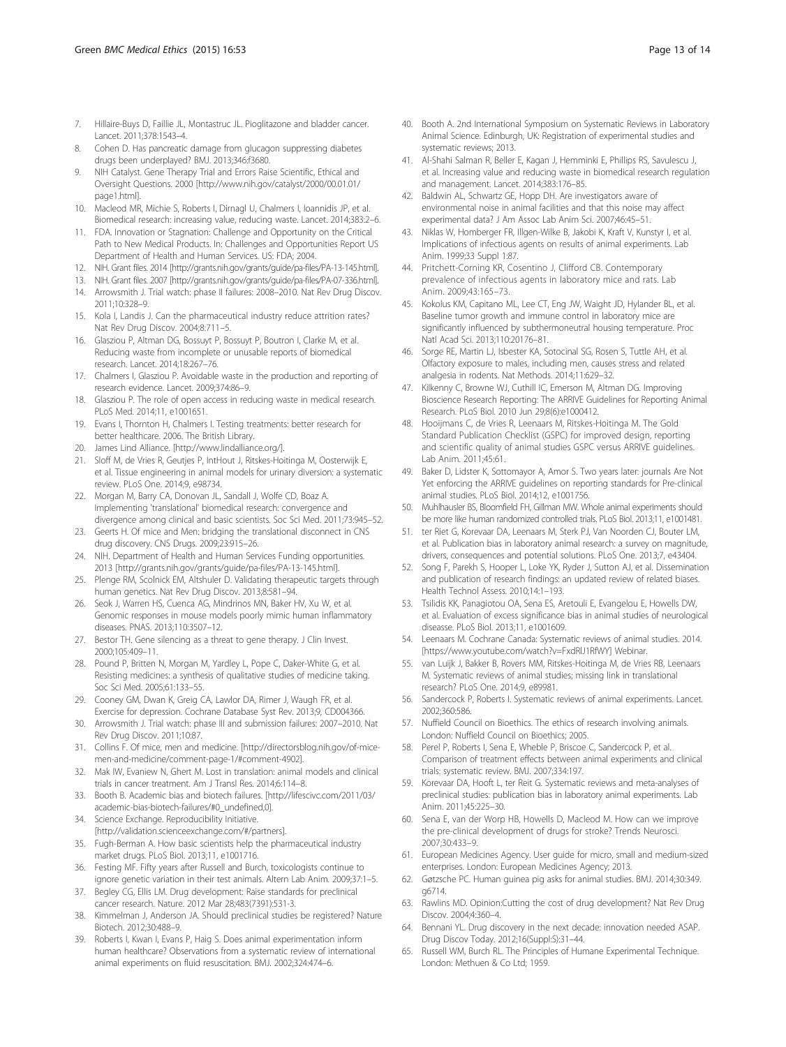- <span id="page-12-0"></span>7. Hillaire-Buys D, Faillie JL, Montastruc JL. Pioglitazone and bladder cancer. Lancet. 2011;378:1543–4.
- 8. Cohen D. Has pancreatic damage from glucagon suppressing diabetes drugs been underplayed? BMJ. 2013;346:f3680.
- 9. NIH Catalyst. Gene Therapy Trial and Errors Raise Scientific, Ethical and Oversight Questions. 2000 [\[http://www.nih.gov/catalyst/2000/00.01.01/](http://www.nih.gov/catalyst/2000/00.01.01/page1.html) [page1.html\]](http://www.nih.gov/catalyst/2000/00.01.01/page1.html).
- 10. Macleod MR, Michie S, Roberts I, Dirnagl U, Chalmers I, Ioannidis JP, et al. Biomedical research: increasing value, reducing waste. Lancet. 2014;383:2–6.
- 11. FDA. Innovation or Stagnation: Challenge and Opportunity on the Critical Path to New Medical Products. In: Challenges and Opportunities Report US Department of Health and Human Services. US: FDA; 2004.
- 12. NIH. Grant files. 2014 [\[http://grants.nih.gov/grants/guide/pa-files/PA-13-145.html](http://grants.nih.gov/grants/guide/pa-files/PA-13-145.html)].
- 13. NIH. Grant files. 2007 [\[http://grants.nih.gov/grants/guide/pa-files/PA-07-336.html](http://grants.nih.gov/grants/guide/pa-files/PA-07-336.html)].
- 14. Arrowsmith J. Trial watch: phase II failures: 2008–2010. Nat Rev Drug Discov. 2011;10:328–9.
- 15. Kola I, Landis J. Can the pharmaceutical industry reduce attrition rates? Nat Rev Drug Discov. 2004;8:711–5.
- 16. Glasziou P, Altman DG, Bossuyt P, Bossuyt P, Boutron I, Clarke M, et al. Reducing waste from incomplete or unusable reports of biomedical research. Lancet. 2014;18:267–76.
- 17. Chalmers I, Glasziou P. Avoidable waste in the production and reporting of research evidence. Lancet. 2009;374:86–9.
- 18. Glasziou P. The role of open access in reducing waste in medical research. PLoS Med. 2014;11, e1001651.
- 19. Evans I, Thornton H, Chalmers I. Testing treatments: better research for better healthcare. 2006. The British Library.
- 20. James Lind Alliance. [[http://www.lindalliance.org/\]](http://www.lindalliance.org/).
- 21. Sloff M, de Vries R, Geutjes P, IntHout J, Ritskes-Hoitinga M, Oosterwijk E, et al. Tissue engineering in animal models for urinary diversion: a systematic review. PLoS One. 2014;9, e98734.
- 22. Morgan M, Barry CA, Donovan JL, Sandall J, Wolfe CD, Boaz A. Implementing 'translational' biomedical research: convergence and divergence among clinical and basic scientists. Soc Sci Med. 2011;73:945–52.
- 23. Geerts H. Of mice and Men: bridging the translational disconnect in CNS drug discovery. CNS Drugs. 2009;23:915–26.
- 24. NIH. Department of Health and Human Services Funding opportunities. 2013 [\[http://grants.nih.gov/grants/guide/pa-files/PA-13-145.html](http://grants.nih.gov/grants/guide/pa-files/PA-13-145.html)].
- 25. Plenge RM, Scolnick EM, Altshuler D. Validating therapeutic targets through human genetics. Nat Rev Drug Discov. 2013;8:581–94.
- 26. Seok J, Warren HS, Cuenca AG, Mindrinos MN, Baker HV, Xu W, et al. Genomic responses in mouse models poorly mimic human inflammatory diseases. PNAS. 2013;110:3507–12.
- 27. Bestor TH. Gene silencing as a threat to gene therapy. J Clin Invest. 2000;105:409–11.
- 28. Pound P, Britten N, Morgan M, Yardley L, Pope C, Daker-White G, et al. Resisting medicines: a synthesis of qualitative studies of medicine taking. Soc Sci Med. 2005;61:133–55.
- 29. Cooney GM, Dwan K, Greig CA, Lawlor DA, Rimer J, Waugh FR, et al. Exercise for depression. Cochrane Database Syst Rev. 2013;9, CD004366.
- 30. Arrowsmith J. Trial watch: phase III and submission failures: 2007–2010. Nat Rev Drug Discov. 2011;10:87.
- 31. Collins F. Of mice, men and medicine. [[http://directorsblog.nih.gov/of-mice](http://directorsblog.nih.gov/of-mice-men-and-medicine/comment-page-1/#comment-4902)[men-and-medicine/comment-page-1/#comment-4902](http://directorsblog.nih.gov/of-mice-men-and-medicine/comment-page-1/#comment-4902)].
- 32. Mak IW, Evaniew N, Ghert M. Lost in translation: animal models and clinical trials in cancer treatment. Am J Transl Res. 2014;6:114–8.
- 33. Booth B. Academic bias and biotech failures. [[http://lifescivc.com/2011/03/](http://lifescivc.com/2011/03/academic-bias-biotech-failures/#0_undefined,0) [academic-bias-biotech-failures/#0\\_undefined,0\]](http://lifescivc.com/2011/03/academic-bias-biotech-failures/#0_undefined,0).
- 34. Science Exchange. Reproducibility Initiative. [[http://validation.scienceexchange.com/#/partners\]](http://validation.scienceexchange.com/#/partners).
- 35. Fugh-Berman A. How basic scientists help the pharmaceutical industry
- market drugs. PLoS Biol. 2013;11, e1001716. 36. Festing MF. Fifty years after Russell and Burch, toxicologists continue to
- ignore genetic variation in their test animals. Altern Lab Anim. 2009;37:1–5. 37. Begley CG, Ellis LM. Drug development: Raise standards for preclinical
- cancer research. Nature. 2012 Mar 28;483(7391):531-3. 38. Kimmelman J, Anderson JA. Should preclinical studies be registered? Nature Biotech. 2012;30:488–9.
- 39. Roberts I, Kwan I, Evans P, Haig S. Does animal experimentation inform human healthcare? Observations from a systematic review of international animal experiments on fluid resuscitation. BMJ. 2002;324:474–6.
- 40. Booth A. 2nd International Symposium on Systematic Reviews in Laboratory Animal Science. Edinburgh, UK: Registration of experimental studies and systematic reviews; 2013.
- 41. Al-Shahi Salman R, Beller E, Kagan J, Hemminki E, Phillips RS, Savulescu J, et al. Increasing value and reducing waste in biomedical research regulation and management. Lancet. 2014;383:176–85.
- 42. Baldwin AL, Schwartz GE, Hopp DH. Are investigators aware of environmental noise in animal facilities and that this noise may affect experimental data? J Am Assoc Lab Anim Sci. 2007;46:45–51.
- 43. Niklas W, Homberger FR, Illgen-Wilke B, Jakobi K, Kraft V, Kunstyr I, et al. Implications of infectious agents on results of animal experiments. Lab Anim. 1999;33 Suppl 1:87.
- 44. Pritchett-Corning KR, Cosentino J, Clifford CB. Contemporary prevalence of infectious agents in laboratory mice and rats. Lab Anim. 2009;43:165–73.
- 45. Kokolus KM, Capitano ML, Lee CT, Eng JW, Waight JD, Hylander BL, et al. Baseline tumor growth and immune control in laboratory mice are significantly influenced by subthermoneutral housing temperature. Proc Natl Acad Sci. 2013;110:20176–81.
- 46. Sorge RE, Martin LJ, Isbester KA, Sotocinal SG, Rosen S, Tuttle AH, et al. Olfactory exposure to males, including men, causes stress and related analgesia in rodents. Nat Methods. 2014;11:629–32.
- 47. Kilkenny C, Browne WJ, Cuthill IC, Emerson M, Altman DG. Improving Bioscience Research Reporting: The ARRIVE Guidelines for Reporting Animal Research. PLoS Biol. 2010 Jun 29;8(6):e1000412.
- 48. Hooijmans C, de Vries R, Leenaars M, Ritskes-Hoitinga M. The Gold Standard Publication Checklist (GSPC) for improved design, reporting and scientific quality of animal studies GSPC versus ARRIVE guidelines. Lab Anim. 2011;45:61.
- 49. Baker D, Lidster K, Sottomayor A, Amor S. Two years later: journals Are Not Yet enforcing the ARRIVE guidelines on reporting standards for Pre-clinical animal studies. PLoS Biol. 2014;12, e1001756.
- 50. Muhlhausler BS, Bloomfield FH, Gillman MW. Whole animal experiments should be more like human randomized controlled trials. PLoS Biol. 2013;11, e1001481.
- 51. ter Riet G, Korevaar DA, Leenaars M, Sterk PJ, Van Noorden CJ, Bouter LM, et al. Publication bias in laboratory animal research: a survey on magnitude, drivers, consequences and potential solutions. PLoS One. 2013;7, e43404.
- 52. Song F, Parekh S, Hooper L, Loke YK, Ryder J, Sutton AJ, et al. Dissemination and publication of research findings: an updated review of related biases. Health Technol Assess. 2010;14:1–193.
- 53. Tsilidis KK, Panagiotou OA, Sena ES, Aretouli E, Evangelou E, Howells DW, et al. Evaluation of excess significance bias in animal studies of neurological diseasse. PLoS Biol. 2013;11, e1001609.
- 54. Leenaars M. Cochrane Canada: Systematic reviews of animal studies. 2014. [[https://www.youtube.com/watch?v=FxdRlJ1RfWY\]](https://www.youtube.com/watch?v=FxdRlJ1RfWY) Webinar.
- van Luijk J, Bakker B, Rovers MM, Ritskes-Hoitinga M, de Vries RB, Leenaars M. Systematic reviews of animal studies; missing link in translational research? PLoS One. 2014;9, e89981.
- 56. Sandercock P, Roberts I. Systematic reviews of animal experiments. Lancet. 2002;360:586.
- 57. Nuffield Council on Bioethics. The ethics of research involving animals. London: Nuffield Council on Bioethics; 2005.
- 58. Perel P, Roberts I, Sena E, Wheble P, Briscoe C, Sandercock P, et al. Comparison of treatment effects between animal experiments and clinical trials: systematic review. BMJ. 2007;334:197.
- 59. Korevaar DA, Hooft L, ter Reit G. Systematic reviews and meta-analyses of preclinical studies: publication bias in laboratory animal experiments. Lab Anim. 2011;45:225–30.
- 60. Sena E, van der Worp HB, Howells D, Macleod M. How can we improve the pre-clinical development of drugs for stroke? Trends Neurosci. 2007;30:433–9.
- 61. European Medicines Agency. User guide for micro, small and medium-sized enterprises. London: European Medicines Agency; 2013.
- 62. Gøtzsche PC. Human guinea pig asks for animal studies. BMJ. 2014;30:349. g6714.
- 63. Rawlins MD. Opinion:Cutting the cost of drug development? Nat Rev Drug Discov. 2004;4:360–4.
- Bennani YL. Drug discovery in the next decade: innovation needed ASAP. Drug Discov Today. 2012;16(Suppl:S):31–44.
- 65. Russell WM, Burch RL. The Principles of Humane Experimental Technique. London: Methuen & Co Ltd; 1959.